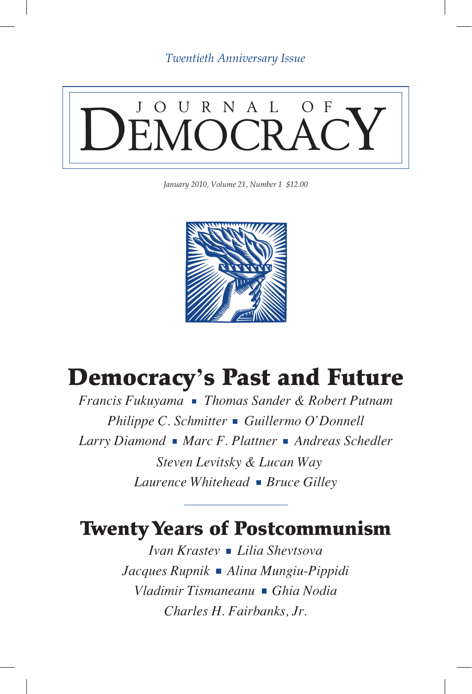*Twentieth Anniversary Issue*



*January 2010, Volume 21, Number 1 \$12.00*



# Democracy**'**s Past and Future

*Francis Fukuyama Thomas Sander & Robert Putnam Philippe C. Schmitter • Guillermo O'Donnell Larry Diamond* ■ *Marc F. Plattner* ■ *Andreas Schedler Steven Levitsky & Lucan Way Laurence Whitehead Bruce Gilley*

## Twenty Years of Postcommunism

*Ivan Krastev Lilia Shevtsova Jacques Rupnik Alina Mungiu-Pippidi Vladimir Tismaneanu Ghia Nodia Charles H. Fairbanks, Jr.*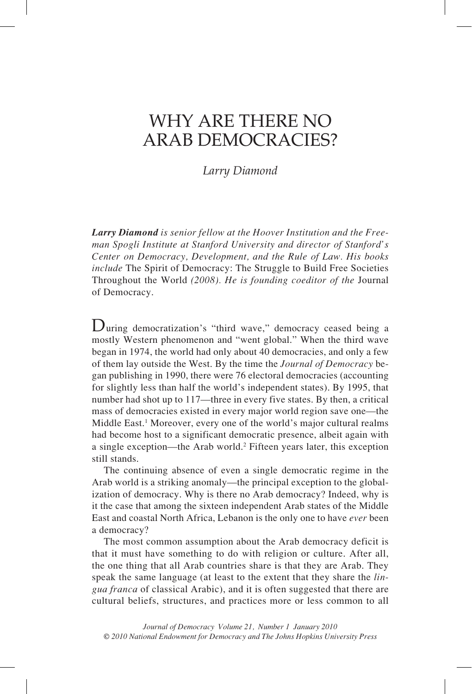### why are there no arab democracies?

#### *Larry Diamond*

*Larry Diamond is senior fellow at the Hoover Institution and the Freeman Spogli Institute at Stanford University and director of Stanford's Center on Democracy, Development, and the Rule of Law. His books include* The Spirit of Democracy: The Struggle to Build Free Societies Throughout the World *(2008). He is founding coeditor of the* Journal of Democracy.

During democratization's "third wave," democracy ceased being a mostly Western phenomenon and "went global." When the third wave began in 1974, the world had only about 40 democracies, and only a few of them lay outside the West. By the time the *Journal of Democracy* began publishing in 1990, there were 76 electoral democracies (accounting for slightly less than half the world's independent states). By 1995, that number had shot up to 117—three in every five states. By then, a critical mass of democracies existed in every major world region save one—the Middle East.<sup>1</sup> Moreover, every one of the world's major cultural realms had become host to a significant democratic presence, albeit again with a single exception—the Arab world.2 Fifteen years later, this exception still stands.

The continuing absence of even a single democratic regime in the Arab world is a striking anomaly—the principal exception to the globalization of democracy. Why is there no Arab democracy? Indeed, why is it the case that among the sixteen independent Arab states of the Middle East and coastal North Africa, Lebanon is the only one to have *ever* been a democracy?

The most common assumption about the Arab democracy deficit is that it must have something to do with religion or culture. After all, the one thing that all Arab countries share is that they are Arab. They speak the same language (at least to the extent that they share the *lingua franca* of classical Arabic), and it is often suggested that there are cultural beliefs, structures, and practices more or less common to all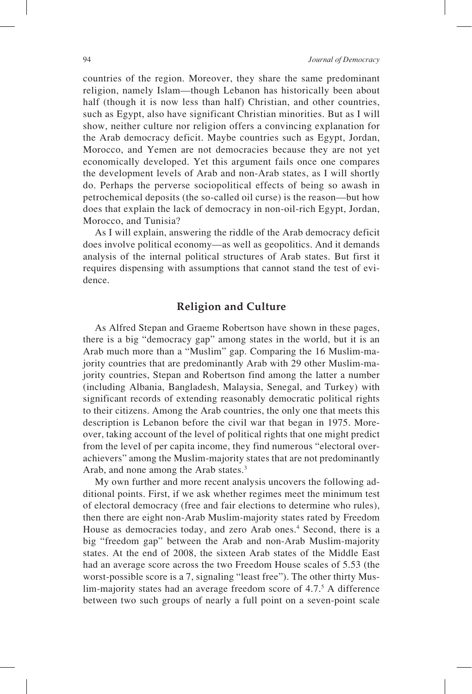countries of the region. Moreover, they share the same predominant religion, namely Islam—though Lebanon has historically been about half (though it is now less than half) Christian, and other countries, such as Egypt, also have significant Christian minorities. But as I will show, neither culture nor religion offers a convincing explanation for the Arab democracy deficit. Maybe countries such as Egypt, Jordan, Morocco, and Yemen are not democracies because they are not yet economically developed. Yet this argument fails once one compares the development levels of Arab and non-Arab states, as I will shortly do. Perhaps the perverse sociopolitical effects of being so awash in petrochemical deposits (the so-called oil curse) is the reason—but how does that explain the lack of democracy in non-oil-rich Egypt, Jordan, Morocco, and Tunisia?

As I will explain, answering the riddle of the Arab democracy deficit does involve political economy—as well as geopolitics. And it demands analysis of the internal political structures of Arab states. But first it requires dispensing with assumptions that cannot stand the test of evidence.

#### **Religion and Culture**

As Alfred Stepan and Graeme Robertson have shown in these pages, there is a big "democracy gap" among states in the world, but it is an Arab much more than a "Muslim" gap. Comparing the 16 Muslim-majority countries that are predominantly Arab with 29 other Muslim-majority countries, Stepan and Robertson find among the latter a number (including Albania, Bangladesh, Malaysia, Senegal, and Turkey) with significant records of extending reasonably democratic political rights to their citizens. Among the Arab countries, the only one that meets this description is Lebanon before the civil war that began in 1975. Moreover, taking account of the level of political rights that one might predict from the level of per capita income, they find numerous "electoral overachievers" among the Muslim-majority states that are not predominantly Arab, and none among the Arab states.3

My own further and more recent analysis uncovers the following additional points. First, if we ask whether regimes meet the minimum test of electoral democracy (free and fair elections to determine who rules), then there are eight non-Arab Muslim-majority states rated by Freedom House as democracies today, and zero Arab ones.<sup>4</sup> Second, there is a big "freedom gap" between the Arab and non-Arab Muslim-majority states. At the end of 2008, the sixteen Arab states of the Middle East had an average score across the two Freedom House scales of 5.53 (the worst-possible score is a 7, signaling "least free"). The other thirty Muslim-majority states had an average freedom score of 4.7.<sup>5</sup> A difference between two such groups of nearly a full point on a seven-point scale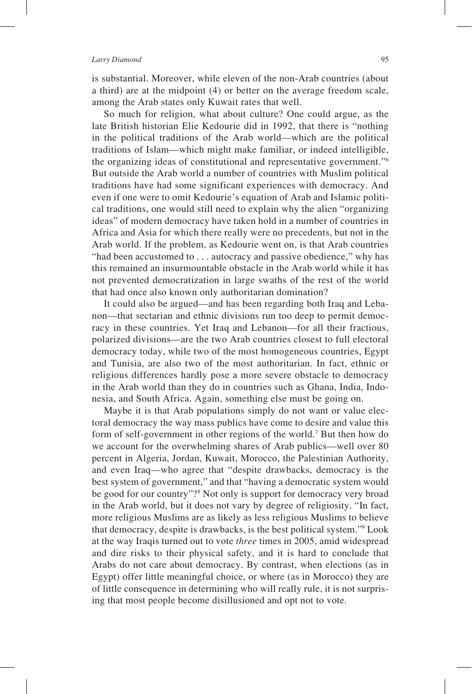is substantial. Moreover, while eleven of the non-Arab countries (about a third) are at the midpoint (4) or better on the average freedom scale, among the Arab states only Kuwait rates that well.

So much for religion, what about culture? One could argue, as the late British historian Elie Kedourie did in 1992, that there is "nothing in the political traditions of the Arab world—which are the political traditions of Islam—which might make familiar, or indeed intelligible, the organizing ideas of constitutional and representative government."6 But outside the Arab world a number of countries with Muslim political traditions have had some significant experiences with democracy. And even if one were to omit Kedourie's equation of Arab and Islamic political traditions, one would still need to explain why the alien "organizing ideas" of modern democracy have taken hold in a number of countries in Africa and Asia for which there really were no precedents, but not in the Arab world. If the problem, as Kedourie went on, is that Arab countries "had been accustomed to . . . autocracy and passive obedience," why has this remained an insurmountable obstacle in the Arab world while it has not prevented democratization in large swaths of the rest of the world that had once also known only authoritarian domination?

It could also be argued—and has been regarding both Iraq and Lebanon—that sectarian and ethnic divisions run too deep to permit democracy in these countries. Yet Iraq and Lebanon—for all their fractious, polarized divisions—are the two Arab countries closest to full electoral democracy today, while two of the most homogeneous countries, Egypt and Tunisia, are also two of the most authoritarian. In fact, ethnic or religious differences hardly pose a more severe obstacle to democracy in the Arab world than they do in countries such as Ghana, India, Indonesia, and South Africa. Again, something else must be going on.

Maybe it is that Arab populations simply do not want or value electoral democracy the way mass publics have come to desire and value this form of self-government in other regions of the world.<sup>7</sup> But then how do we account for the overwhelming shares of Arab publics—well over 80 percent in Algeria, Jordan, Kuwait, Morocco, the Palestinian Authority, and even Iraq—who agree that "despite drawbacks, democracy is the best system of government," and that "having a democratic system would be good for our country"?8 Not only is support for democracy very broad in the Arab world, but it does not vary by degree of religiosity. "In fact, more religious Muslims are as likely as less religious Muslims to believe that democracy, despite is drawbacks, is the best political system."9 Look at the way Iraqis turned out to vote *three* times in 2005, amid widespread and dire risks to their physical safety, and it is hard to conclude that Arabs do not care about democracy. By contrast, when elections (as in Egypt) offer little meaningful choice, or where (as in Morocco) they are of little consequence in determining who will really rule, it is not surprising that most people become disillusioned and opt not to vote.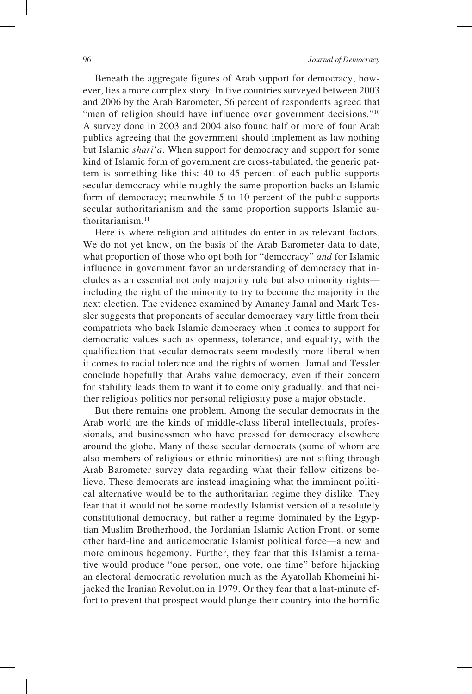Beneath the aggregate figures of Arab support for democracy, however, lies a more complex story. In five countries surveyed between 2003 and 2006 by the Arab Barometer, 56 percent of respondents agreed that "men of religion should have influence over government decisions."<sup>10</sup> A survey done in 2003 and 2004 also found half or more of four Arab publics agreeing that the government should implement as law nothing but Islamic *shari'a*. When support for democracy and support for some kind of Islamic form of government are cross-tabulated, the generic pattern is something like this: 40 to 45 percent of each public supports secular democracy while roughly the same proportion backs an Islamic form of democracy; meanwhile 5 to 10 percent of the public supports secular authoritarianism and the same proportion supports Islamic authoritarianism.<sup>11</sup>

Here is where religion and attitudes do enter in as relevant factors. We do not yet know, on the basis of the Arab Barometer data to date, what proportion of those who opt both for "democracy" *and* for Islamic influence in government favor an understanding of democracy that includes as an essential not only majority rule but also minority rights including the right of the minority to try to become the majority in the next election. The evidence examined by Amaney Jamal and Mark Tessler suggests that proponents of secular democracy vary little from their compatriots who back Islamic democracy when it comes to support for democratic values such as openness, tolerance, and equality, with the qualification that secular democrats seem modestly more liberal when it comes to racial tolerance and the rights of women. Jamal and Tessler conclude hopefully that Arabs value democracy, even if their concern for stability leads them to want it to come only gradually, and that neither religious politics nor personal religiosity pose a major obstacle.

But there remains one problem. Among the secular democrats in the Arab world are the kinds of middle-class liberal intellectuals, professionals, and businessmen who have pressed for democracy elsewhere around the globe. Many of these secular democrats (some of whom are also members of religious or ethnic minorities) are not sifting through Arab Barometer survey data regarding what their fellow citizens believe. These democrats are instead imagining what the imminent political alternative would be to the authoritarian regime they dislike. They fear that it would not be some modestly Islamist version of a resolutely constitutional democracy, but rather a regime dominated by the Egyptian Muslim Brotherhood, the Jordanian Islamic Action Front, or some other hard-line and antidemocratic Islamist political force—a new and more ominous hegemony. Further, they fear that this Islamist alternative would produce "one person, one vote, one time" before hijacking an electoral democratic revolution much as the Ayatollah Khomeini hijacked the Iranian Revolution in 1979. Or they fear that a last-minute effort to prevent that prospect would plunge their country into the horrific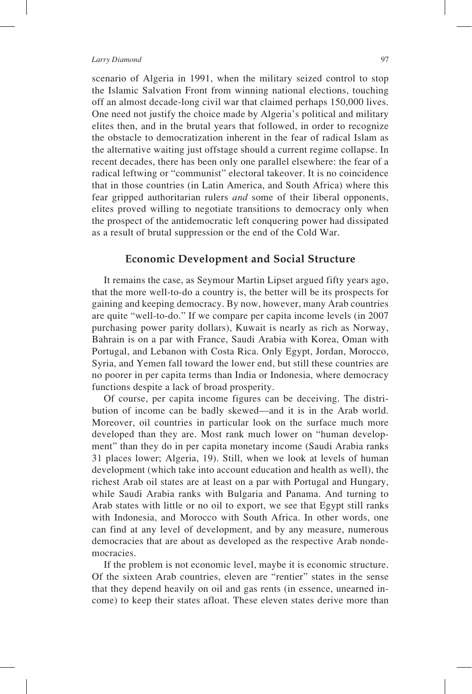scenario of Algeria in 1991, when the military seized control to stop the Islamic Salvation Front from winning national elections, touching off an almost decade-long civil war that claimed perhaps 150,000 lives. One need not justify the choice made by Algeria's political and military elites then, and in the brutal years that followed, in order to recognize the obstacle to democratization inherent in the fear of radical Islam as the alternative waiting just offstage should a current regime collapse. In recent decades, there has been only one parallel elsewhere: the fear of a radical leftwing or "communist" electoral takeover. It is no coincidence that in those countries (in Latin America, and South Africa) where this fear gripped authoritarian rulers *and* some of their liberal opponents, elites proved willing to negotiate transitions to democracy only when the prospect of the antidemocratic left conquering power had dissipated as a result of brutal suppression or the end of the Cold War.

#### **Economic Development and Social Structure**

It remains the case, as Seymour Martin Lipset argued fifty years ago, that the more well-to-do a country is, the better will be its prospects for gaining and keeping democracy. By now, however, many Arab countries are quite "well-to-do." If we compare per capita income levels (in 2007 purchasing power parity dollars), Kuwait is nearly as rich as Norway, Bahrain is on a par with France, Saudi Arabia with Korea, Oman with Portugal, and Lebanon with Costa Rica. Only Egypt, Jordan, Morocco, Syria, and Yemen fall toward the lower end, but still these countries are no poorer in per capita terms than India or Indonesia, where democracy functions despite a lack of broad prosperity.

Of course, per capita income figures can be deceiving. The distribution of income can be badly skewed—and it is in the Arab world. Moreover, oil countries in particular look on the surface much more developed than they are. Most rank much lower on "human development" than they do in per capita monetary income (Saudi Arabia ranks 31 places lower; Algeria, 19). Still, when we look at levels of human development (which take into account education and health as well), the richest Arab oil states are at least on a par with Portugal and Hungary, while Saudi Arabia ranks with Bulgaria and Panama. And turning to Arab states with little or no oil to export, we see that Egypt still ranks with Indonesia, and Morocco with South Africa. In other words, one can find at any level of development, and by any measure, numerous democracies that are about as developed as the respective Arab nondemocracies.

If the problem is not economic level, maybe it is economic structure. Of the sixteen Arab countries, eleven are "rentier" states in the sense that they depend heavily on oil and gas rents (in essence, unearned income) to keep their states afloat. These eleven states derive more than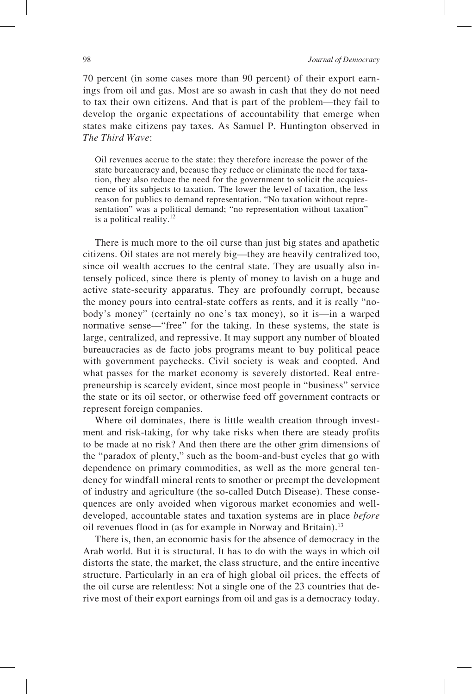70 percent (in some cases more than 90 percent) of their export earnings from oil and gas. Most are so awash in cash that they do not need to tax their own citizens. And that is part of the problem—they fail to develop the organic expectations of accountability that emerge when states make citizens pay taxes. As Samuel P. Huntington observed in *The Third Wave*:

Oil revenues accrue to the state: they therefore increase the power of the state bureaucracy and, because they reduce or eliminate the need for taxation, they also reduce the need for the government to solicit the acquiescence of its subjects to taxation. The lower the level of taxation, the less reason for publics to demand representation. "No taxation without representation" was a political demand; "no representation without taxation" is a political reality. $12$ 

There is much more to the oil curse than just big states and apathetic citizens. Oil states are not merely big—they are heavily centralized too, since oil wealth accrues to the central state. They are usually also intensely policed, since there is plenty of money to lavish on a huge and active state-security apparatus. They are profoundly corrupt, because the money pours into central-state coffers as rents, and it is really "nobody's money" (certainly no one's tax money), so it is—in a warped normative sense—"free" for the taking. In these systems, the state is large, centralized, and repressive. It may support any number of bloated bureaucracies as de facto jobs programs meant to buy political peace with government paychecks. Civil society is weak and coopted. And what passes for the market economy is severely distorted. Real entrepreneurship is scarcely evident, since most people in "business" service the state or its oil sector, or otherwise feed off government contracts or represent foreign companies.

Where oil dominates, there is little wealth creation through investment and risk-taking, for why take risks when there are steady profits to be made at no risk? And then there are the other grim dimensions of the "paradox of plenty," such as the boom-and-bust cycles that go with dependence on primary commodities, as well as the more general tendency for windfall mineral rents to smother or preempt the development of industry and agriculture (the so-called Dutch Disease). These consequences are only avoided when vigorous market economies and welldeveloped, accountable states and taxation systems are in place *before* oil revenues flood in (as for example in Norway and Britain).13

There is, then, an economic basis for the absence of democracy in the Arab world. But it is structural. It has to do with the ways in which oil distorts the state, the market, the class structure, and the entire incentive structure. Particularly in an era of high global oil prices, the effects of the oil curse are relentless: Not a single one of the 23 countries that derive most of their export earnings from oil and gas is a democracy today.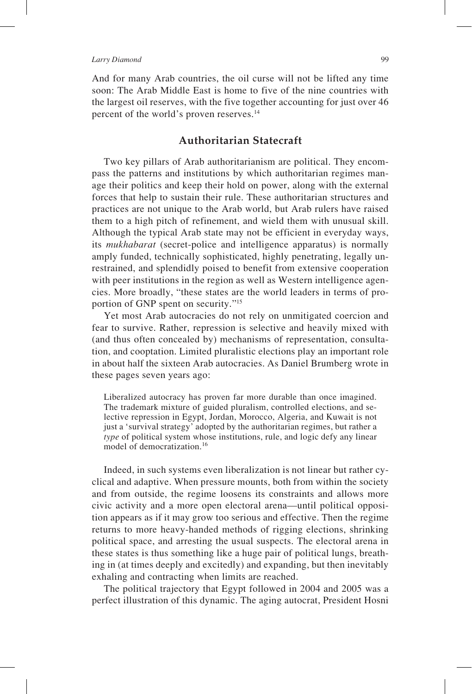And for many Arab countries, the oil curse will not be lifted any time soon: The Arab Middle East is home to five of the nine countries with the largest oil reserves, with the five together accounting for just over 46 percent of the world's proven reserves.<sup>14</sup>

#### **Authoritarian Statecraft**

Two key pillars of Arab authoritarianism are political. They encompass the patterns and institutions by which authoritarian regimes manage their politics and keep their hold on power, along with the external forces that help to sustain their rule. These authoritarian structures and practices are not unique to the Arab world, but Arab rulers have raised them to a high pitch of refinement, and wield them with unusual skill. Although the typical Arab state may not be efficient in everyday ways, its *mukhabarat* (secret-police and intelligence apparatus) is normally amply funded, technically sophisticated, highly penetrating, legally unrestrained, and splendidly poised to benefit from extensive cooperation with peer institutions in the region as well as Western intelligence agencies. More broadly, "these states are the world leaders in terms of proportion of GNP spent on security."15

Yet most Arab autocracies do not rely on unmitigated coercion and fear to survive. Rather, repression is selective and heavily mixed with (and thus often concealed by) mechanisms of representation, consultation, and cooptation. Limited pluralistic elections play an important role in about half the sixteen Arab autocracies. As Daniel Brumberg wrote in these pages seven years ago:

Liberalized autocracy has proven far more durable than once imagined. The trademark mixture of guided pluralism, controlled elections, and selective repression in Egypt, Jordan, Morocco, Algeria, and Kuwait is not just a 'survival strategy' adopted by the authoritarian regimes, but rather a *type* of political system whose institutions, rule, and logic defy any linear model of democratization.16

Indeed, in such systems even liberalization is not linear but rather cyclical and adaptive. When pressure mounts, both from within the society and from outside, the regime loosens its constraints and allows more civic activity and a more open electoral arena—until political opposition appears as if it may grow too serious and effective. Then the regime returns to more heavy-handed methods of rigging elections, shrinking political space, and arresting the usual suspects. The electoral arena in these states is thus something like a huge pair of political lungs, breathing in (at times deeply and excitedly) and expanding, but then inevitably exhaling and contracting when limits are reached.

The political trajectory that Egypt followed in 2004 and 2005 was a perfect illustration of this dynamic. The aging autocrat, President Hosni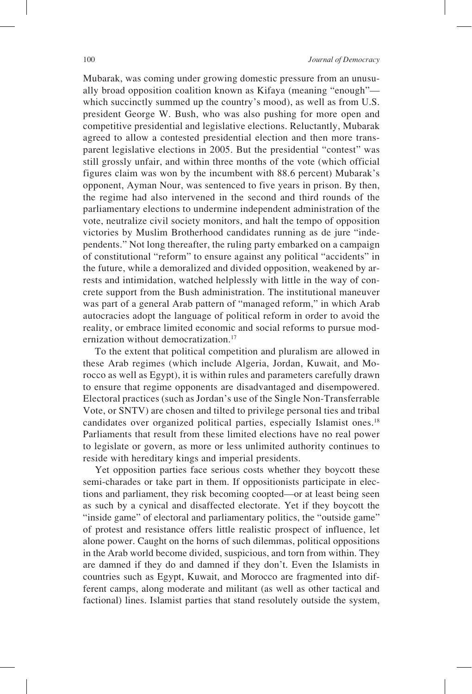Mubarak, was coming under growing domestic pressure from an unusually broad opposition coalition known as Kifaya (meaning "enough" which succinctly summed up the country's mood), as well as from U.S. president George W. Bush, who was also pushing for more open and competitive presidential and legislative elections. Reluctantly, Mubarak agreed to allow a contested presidential election and then more transparent legislative elections in 2005. But the presidential "contest" was still grossly unfair, and within three months of the vote (which official figures claim was won by the incumbent with 88.6 percent) Mubarak's opponent, Ayman Nour, was sentenced to five years in prison. By then, the regime had also intervened in the second and third rounds of the parliamentary elections to undermine independent administration of the vote, neutralize civil society monitors, and halt the tempo of opposition victories by Muslim Brotherhood candidates running as de jure "independents." Not long thereafter, the ruling party embarked on a campaign of constitutional "reform" to ensure against any political "accidents" in the future, while a demoralized and divided opposition, weakened by arrests and intimidation, watched helplessly with little in the way of concrete support from the Bush administration. The institutional maneuver was part of a general Arab pattern of "managed reform," in which Arab autocracies adopt the language of political reform in order to avoid the reality, or embrace limited economic and social reforms to pursue modernization without democratization.<sup>17</sup>

To the extent that political competition and pluralism are allowed in these Arab regimes (which include Algeria, Jordan, Kuwait, and Morocco as well as Egypt), it is within rules and parameters carefully drawn to ensure that regime opponents are disadvantaged and disempowered. Electoral practices (such as Jordan's use of the Single Non-Transferrable Vote, or SNTV) are chosen and tilted to privilege personal ties and tribal candidates over organized political parties, especially Islamist ones.18 Parliaments that result from these limited elections have no real power to legislate or govern, as more or less unlimited authority continues to reside with hereditary kings and imperial presidents.

Yet opposition parties face serious costs whether they boycott these semi-charades or take part in them. If oppositionists participate in elections and parliament, they risk becoming coopted—or at least being seen as such by a cynical and disaffected electorate. Yet if they boycott the "inside game" of electoral and parliamentary politics, the "outside game" of protest and resistance offers little realistic prospect of influence, let alone power. Caught on the horns of such dilemmas, political oppositions in the Arab world become divided, suspicious, and torn from within. They are damned if they do and damned if they don't. Even the Islamists in countries such as Egypt, Kuwait, and Morocco are fragmented into different camps, along moderate and militant (as well as other tactical and factional) lines. Islamist parties that stand resolutely outside the system,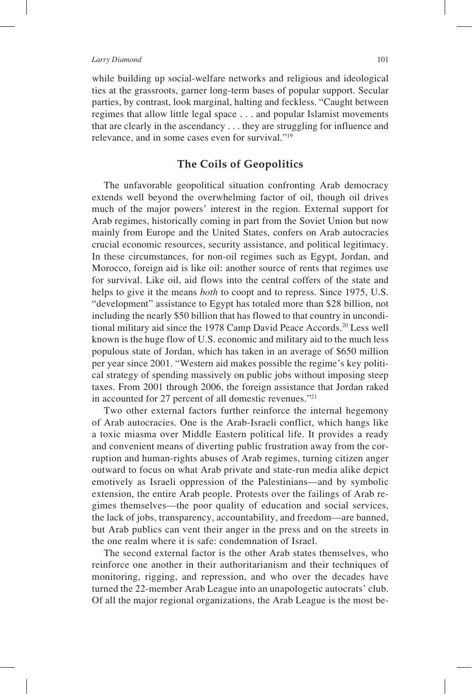while building up social-welfare networks and religious and ideological ties at the grassroots, garner long-term bases of popular support. Secular parties, by contrast, look marginal, halting and feckless. "Caught between regimes that allow little legal space . . . and popular Islamist movements that are clearly in the ascendancy . . . they are struggling for influence and relevance, and in some cases even for survival."19

#### **The Coils of Geopolitics**

The unfavorable geopolitical situation confronting Arab democracy extends well beyond the overwhelming factor of oil, though oil drives much of the major powers' interest in the region. External support for Arab regimes, historically coming in part from the Soviet Union but now mainly from Europe and the United States, confers on Arab autocracies crucial economic resources, security assistance, and political legitimacy. In these circumstances, for non-oil regimes such as Egypt, Jordan, and Morocco, foreign aid is like oil: another source of rents that regimes use for survival. Like oil, aid flows into the central coffers of the state and helps to give it the means *both* to coopt and to repress. Since 1975, U.S. "development" assistance to Egypt has totaled more than \$28 billion, not including the nearly \$50 billion that has flowed to that country in unconditional military aid since the 1978 Camp David Peace Accords.<sup>20</sup> Less well known is the huge flow of U.S. economic and military aid to the much less populous state of Jordan, which has taken in an average of \$650 million per year since 2001. "Western aid makes possible the regime's key political strategy of spending massively on public jobs without imposing steep taxes. From 2001 through 2006, the foreign assistance that Jordan raked in accounted for 27 percent of all domestic revenues."21

Two other external factors further reinforce the internal hegemony of Arab autocracies. One is the Arab-Israeli conflict, which hangs like a toxic miasma over Middle Eastern political life. It provides a ready and convenient means of diverting public frustration away from the corruption and human-rights abuses of Arab regimes, turning citizen anger outward to focus on what Arab private and state-run media alike depict emotively as Israeli oppression of the Palestinians—and by symbolic extension, the entire Arab people. Protests over the failings of Arab regimes themselves—the poor quality of education and social services, the lack of jobs, transparency, accountability, and freedom—are banned, but Arab publics can vent their anger in the press and on the streets in the one realm where it is safe: condemnation of Israel.

The second external factor is the other Arab states themselves, who reinforce one another in their authoritarianism and their techniques of monitoring, rigging, and repression, and who over the decades have turned the 22-member Arab League into an unapologetic autocrats' club. Of all the major regional organizations, the Arab League is the most be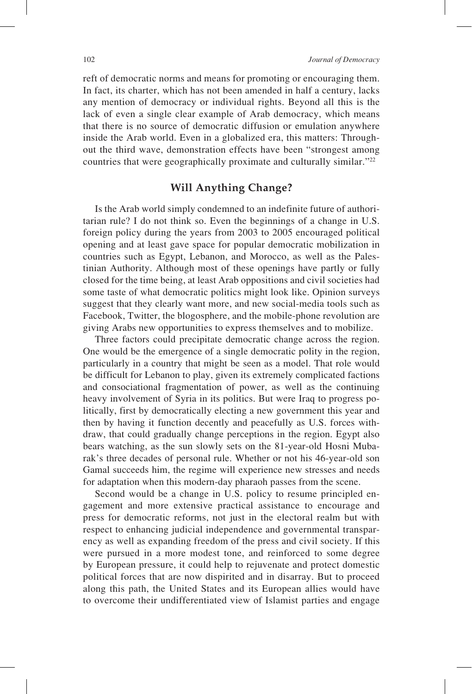reft of democratic norms and means for promoting or encouraging them. In fact, its charter, which has not been amended in half a century, lacks any mention of democracy or individual rights. Beyond all this is the lack of even a single clear example of Arab democracy, which means that there is no source of democratic diffusion or emulation anywhere inside the Arab world. Even in a globalized era, this matters: Throughout the third wave, demonstration effects have been "strongest among countries that were geographically proximate and culturally similar."22

#### **Will Anything Change?**

Is the Arab world simply condemned to an indefinite future of authoritarian rule? I do not think so. Even the beginnings of a change in U.S. foreign policy during the years from 2003 to 2005 encouraged political opening and at least gave space for popular democratic mobilization in countries such as Egypt, Lebanon, and Morocco, as well as the Palestinian Authority. Although most of these openings have partly or fully closed for the time being, at least Arab oppositions and civil societies had some taste of what democratic politics might look like. Opinion surveys suggest that they clearly want more, and new social-media tools such as Facebook, Twitter, the blogosphere, and the mobile-phone revolution are giving Arabs new opportunities to express themselves and to mobilize.

Three factors could precipitate democratic change across the region. One would be the emergence of a single democratic polity in the region, particularly in a country that might be seen as a model. That role would be difficult for Lebanon to play, given its extremely complicated factions and consociational fragmentation of power, as well as the continuing heavy involvement of Syria in its politics. But were Iraq to progress politically, first by democratically electing a new government this year and then by having it function decently and peacefully as U.S. forces withdraw, that could gradually change perceptions in the region. Egypt also bears watching, as the sun slowly sets on the 81-year-old Hosni Mubarak's three decades of personal rule. Whether or not his 46-year-old son Gamal succeeds him, the regime will experience new stresses and needs for adaptation when this modern-day pharaoh passes from the scene.

Second would be a change in U.S. policy to resume principled engagement and more extensive practical assistance to encourage and press for democratic reforms, not just in the electoral realm but with respect to enhancing judicial independence and governmental transparency as well as expanding freedom of the press and civil society. If this were pursued in a more modest tone, and reinforced to some degree by European pressure, it could help to rejuvenate and protect domestic political forces that are now dispirited and in disarray. But to proceed along this path, the United States and its European allies would have to overcome their undifferentiated view of Islamist parties and engage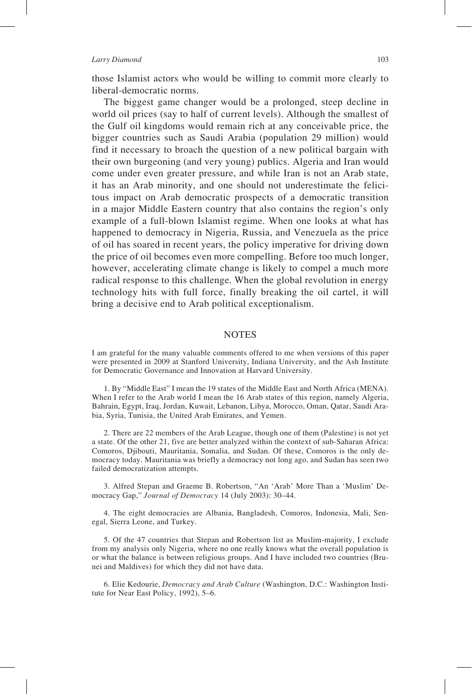those Islamist actors who would be willing to commit more clearly to liberal-democratic norms.

The biggest game changer would be a prolonged, steep decline in world oil prices (say to half of current levels). Although the smallest of the Gulf oil kingdoms would remain rich at any conceivable price, the bigger countries such as Saudi Arabia (population 29 million) would find it necessary to broach the question of a new political bargain with their own burgeoning (and very young) publics. Algeria and Iran would come under even greater pressure, and while Iran is not an Arab state, it has an Arab minority, and one should not underestimate the felicitous impact on Arab democratic prospects of a democratic transition in a major Middle Eastern country that also contains the region's only example of a full-blown Islamist regime. When one looks at what has happened to democracy in Nigeria, Russia, and Venezuela as the price of oil has soared in recent years, the policy imperative for driving down the price of oil becomes even more compelling. Before too much longer, however, accelerating climate change is likely to compel a much more radical response to this challenge. When the global revolution in energy technology hits with full force, finally breaking the oil cartel, it will bring a decisive end to Arab political exceptionalism.

#### **NOTES**

I am grateful for the many valuable comments offered to me when versions of this paper were presented in 2009 at Stanford University, Indiana University, and the Ash Institute for Democratic Governance and Innovation at Harvard University.

1. By "Middle East" I mean the 19 states of the Middle East and North Africa (MENA). When I refer to the Arab world I mean the 16 Arab states of this region, namely Algeria, Bahrain, Egypt, Iraq, Jordan, Kuwait, Lebanon, Libya, Morocco, Oman, Qatar, Saudi Arabia, Syria, Tunisia, the United Arab Emirates, and Yemen.

2. There are 22 members of the Arab League, though one of them (Palestine) is not yet a state. Of the other 21, five are better analyzed within the context of sub-Saharan Africa: Comoros, Djibouti, Mauritania, Somalia, and Sudan. Of these, Comoros is the only democracy today. Mauritania was briefly a democracy not long ago, and Sudan has seen two failed democratization attempts.

3. Alfred Stepan and Graeme B. Robertson, "An 'Arab' More Than a 'Muslim' Democracy Gap," *Journal of Democracy* 14 (July 2003): 30–44.

4. The eight democracies are Albania, Bangladesh, Comoros, Indonesia, Mali, Senegal, Sierra Leone, and Turkey.

5. Of the 47 countries that Stepan and Robertson list as Muslim-majority, I exclude from my analysis only Nigeria, where no one really knows what the overall population is or what the balance is between religious groups. And I have included two countries (Brunei and Maldives) for which they did not have data.

6. Elie Kedourie, *Democracy and Arab Culture* (Washington, D.C.: Washington Institute for Near East Policy, 1992), 5–6.